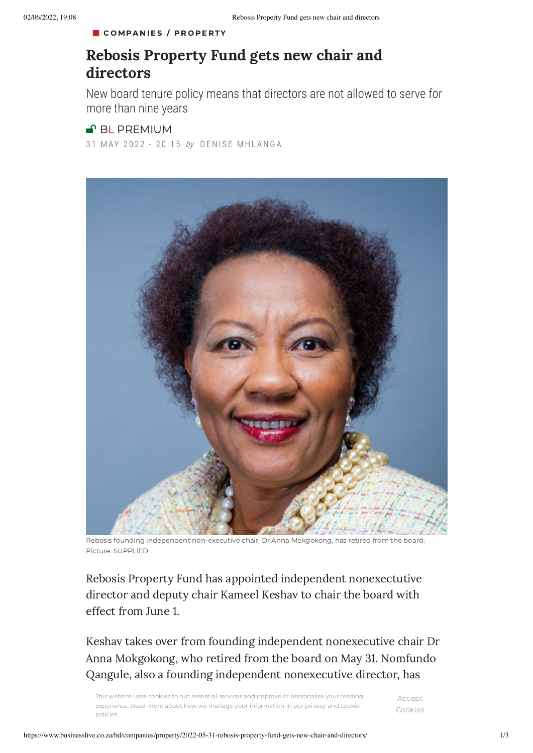## COM[PA](https://www.businesslive.co.za/bd/companies/)NIES / PROPER[TY](https://www.businesslive.co.za/bd/companies/property/)

## Rebosis Property Fund gets new chair and directors

New board tenure policy means that directors are not allowed to serve for more than nine years

## **P**BL [PREMIUM](https://www.businesslive.co.za/premium/)

31 MAY 2022 - 20:15 by DENISE MHLANGA



Rebosis founding independent non-executive chair, Dr Anna Mokgokong, has retired from the board. Picture: SUPPLIED

Rebosis Property Fund has appointed independent nonexectutive director and deputy chair Kameel Keshav to chair the board with effect from June 1.

Keshav takes over from founding independent nonexecutive chair Dr Anna Mokgokong, who retired from the board on May 31. Nomfundo Qangule, also a founding independent nonexecutive director, has

This website uses cookies to run essential services and improve or personalise your reading  $\Delta_{CCP}$ experier<br>policies. experience. Read more about how we manage your information in our privacy and cookie

Accept Cookies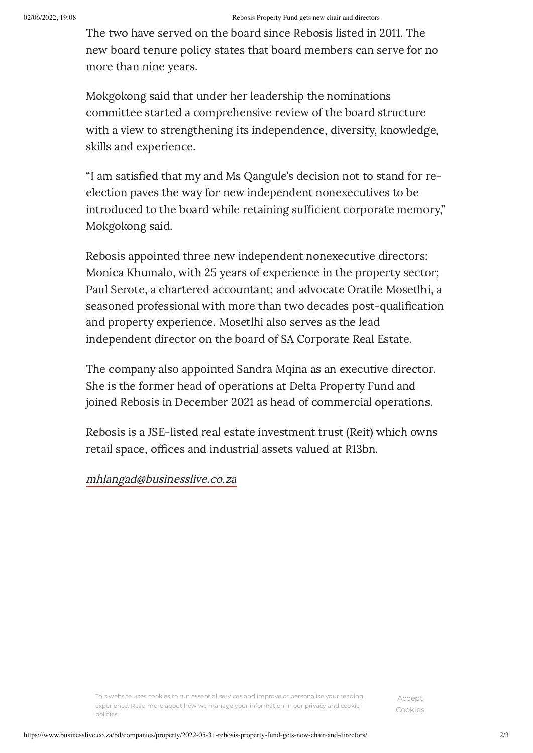The two have served on the board since Rebosis listed in 2011. The new board tenure policy states that board members can serve for no more than nine years.

Mokgokong said that under her leadership the nominations committee started a comprehensive review of the board structure with a view to strengthening its independence, diversity, knowledge, skills and experience.

"I am satisfied that my and Ms Qangule's decision not to stand for reelection paves the way for new independent nonexecutives to be introduced to the board while retaining sufficient corporate memory," Mokgokong said.

Rebosis appointed three new independent nonexecutive directors: Monica Khumalo, with 25 years of experience in the property sector; Paul Serote, a chartered accountant; and advocate Oratile Mosetlhi, a seasoned professional with more than two decades post-qualification and property experience. Mosetlhi also serves as the lead independent director on the board of SA Corporate Real Estate.

The company also appointed Sandra Mqina as an executive director. She is the former head of operations at Delta Property Fund and joined Rebosis in December 2021 as head of commercial operations.

Rebosis is a JSE-listed real estate investment trust (Reit) which owns retail space, offices and industrial assets valued at R13bn.

[mhlangad@businesslive.co.za](mailto:mhlangad@businesslive.co.za)

This website uses cookies to run essential services and improve or personalise your reading experience. Read more about how we manage your [information](https://www.businesslive.co.za/privacy-policy) in our privacy and cookie policies.

Accept Cookies